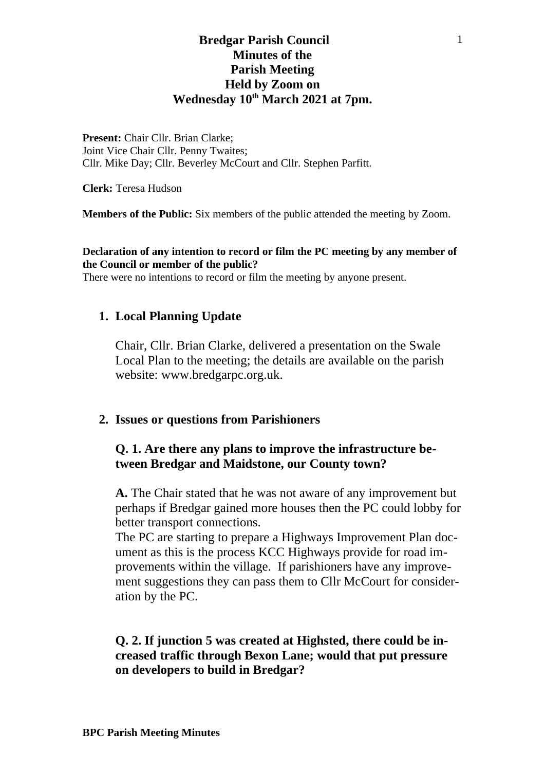## **Bredgar Parish Council Minutes of the Parish Meeting Held by Zoom on Wednesday 10th March 2021 at 7pm.**

**Present:** Chair Cllr. Brian Clarke; Joint Vice Chair Cllr. Penny Twaites; Cllr. Mike Day; Cllr. Beverley McCourt and Cllr. Stephen Parfitt.

**Clerk:** Teresa Hudson

**Members of the Public:** Six members of the public attended the meeting by Zoom.

#### **Declaration of any intention to record or film the PC meeting by any member of the Council or member of the public?**

There were no intentions to record or film the meeting by anyone present.

### **1. Local Planning Update**

Chair, Cllr. Brian Clarke, delivered a presentation on the Swale Local Plan to the meeting; the details are available on the parish website: www.bredgarpc.org.uk.

#### **2. Issues or questions from Parishioners**

### **Q. 1. Are there any plans to improve the infrastructure between Bredgar and Maidstone, our County town?**

**A.** The Chair stated that he was not aware of any improvement but perhaps if Bredgar gained more houses then the PC could lobby for better transport connections.

The PC are starting to prepare a Highways Improvement Plan document as this is the process KCC Highways provide for road improvements within the village. If parishioners have any improvement suggestions they can pass them to Cllr McCourt for consideration by the PC.

### **Q. 2. If junction 5 was created at Highsted, there could be increased traffic through Bexon Lane; would that put pressure on developers to build in Bredgar?**